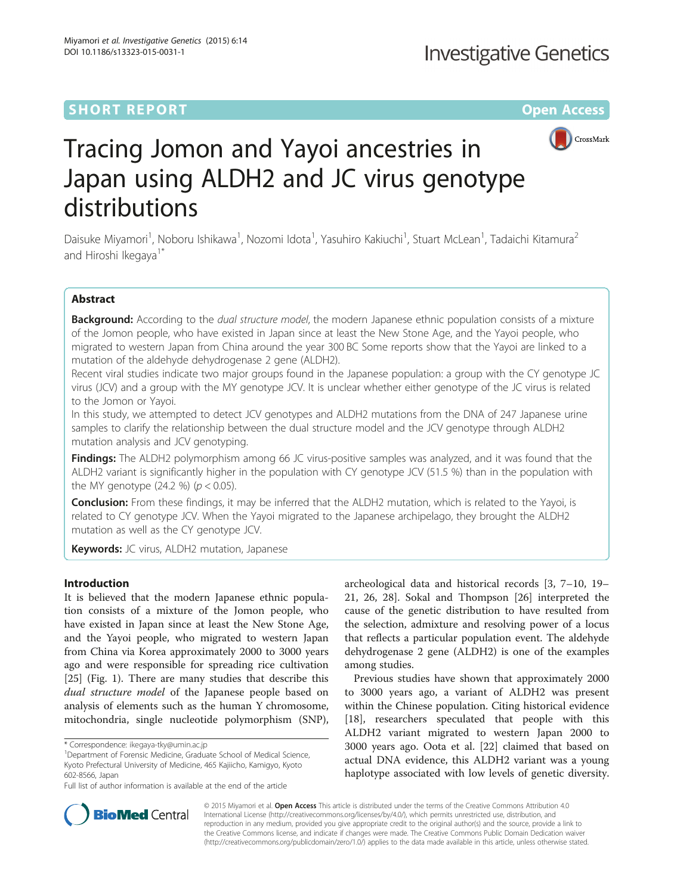# **SHORT REPORT SHORT CONSUMING THE CONSUMING THE CONSUMING THE CONSUMING THE CONSUMING THE CONSUMING THE CONSUMING THE CONSUMING THE CONSUMING THE CONSUMING THE CONSUMING THE CONSUMING THE CONSUMING THE CONSUMING THE CONS**



# Tracing Jomon and Yayoi ancestries in Japan using ALDH2 and JC virus genotype distributions

Daisuke Miyamori<sup>1</sup>, Noboru Ishikawa<sup>1</sup>, Nozomi Idota<sup>1</sup>, Yasuhiro Kakiuchi<sup>1</sup>, Stuart McLean<sup>1</sup>, Tadaichi Kitamura<sup>2</sup> and Hiroshi Ikegaya<sup>1\*</sup>

# Abstract

Background: According to the dual structure model, the modern Japanese ethnic population consists of a mixture of the Jomon people, who have existed in Japan since at least the New Stone Age, and the Yayoi people, who migrated to western Japan from China around the year 300 BC Some reports show that the Yayoi are linked to a mutation of the aldehyde dehydrogenase 2 gene (ALDH2).

Recent viral studies indicate two major groups found in the Japanese population: a group with the CY genotype JC virus (JCV) and a group with the MY genotype JCV. It is unclear whether either genotype of the JC virus is related to the Jomon or Yayoi.

In this study, we attempted to detect JCV genotypes and ALDH2 mutations from the DNA of 247 Japanese urine samples to clarify the relationship between the dual structure model and the JCV genotype through ALDH2 mutation analysis and JCV genotyping.

Findings: The ALDH2 polymorphism among 66 JC virus-positive samples was analyzed, and it was found that the ALDH2 variant is significantly higher in the population with CY genotype JCV (51.5 %) than in the population with the MY genotype (24.2 %) ( $p < 0.05$ ).

**Conclusion:** From these findings, it may be inferred that the ALDH2 mutation, which is related to the Yayoi, is related to CY genotype JCV. When the Yayoi migrated to the Japanese archipelago, they brought the ALDH2 mutation as well as the CY genotype JCV.

Keywords: JC virus, ALDH2 mutation, Japanese

## Introduction

It is believed that the modern Japanese ethnic population consists of a mixture of the Jomon people, who have existed in Japan since at least the New Stone Age, and the Yayoi people, who migrated to western Japan from China via Korea approximately 2000 to 3000 years ago and were responsible for spreading rice cultivation [[25\]](#page-4-0) (Fig. [1\)](#page-1-0). There are many studies that describe this dual structure model of the Japanese people based on analysis of elements such as the human Y chromosome, mitochondria, single nucleotide polymorphism (SNP),

archeological data and historical records [[3, 7](#page-4-0)–[10](#page-4-0), [19](#page-4-0)– [21, 26](#page-4-0), [28](#page-4-0)]. Sokal and Thompson [[26](#page-4-0)] interpreted the cause of the genetic distribution to have resulted from the selection, admixture and resolving power of a locus that reflects a particular population event. The aldehyde dehydrogenase 2 gene (ALDH2) is one of the examples among studies.

Previous studies have shown that approximately 2000 to 3000 years ago, a variant of ALDH2 was present within the Chinese population. Citing historical evidence [[18\]](#page-4-0), researchers speculated that people with this ALDH2 variant migrated to western Japan 2000 to 3000 years ago. Oota et al. [\[22](#page-4-0)] claimed that based on actual DNA evidence, this ALDH2 variant was a young haplotype associated with low levels of genetic diversity.



© 2015 Miyamori et al. Open Access This article is distributed under the terms of the Creative Commons Attribution 4.0 International License [\(http://creativecommons.org/licenses/by/4.0/](http://creativecommons.org/licenses/by/4.0/)), which permits unrestricted use, distribution, and reproduction in any medium, provided you give appropriate credit to the original author(s) and the source, provide a link to the Creative Commons license, and indicate if changes were made. The Creative Commons Public Domain Dedication waiver [\(http://creativecommons.org/publicdomain/zero/1.0/](http://creativecommons.org/publicdomain/zero/1.0/)) applies to the data made available in this article, unless otherwise stated.

<sup>\*</sup> Correspondence: [ikegaya-tky@umin.ac.jp](mailto:ikegaya-tky@umin.ac.jp) <sup>1</sup>

<sup>&</sup>lt;sup>1</sup>Department of Forensic Medicine, Graduate School of Medical Science, Kyoto Prefectural University of Medicine, 465 Kajiicho, Kamigyo, Kyoto 602-8566, Japan

Full list of author information is available at the end of the article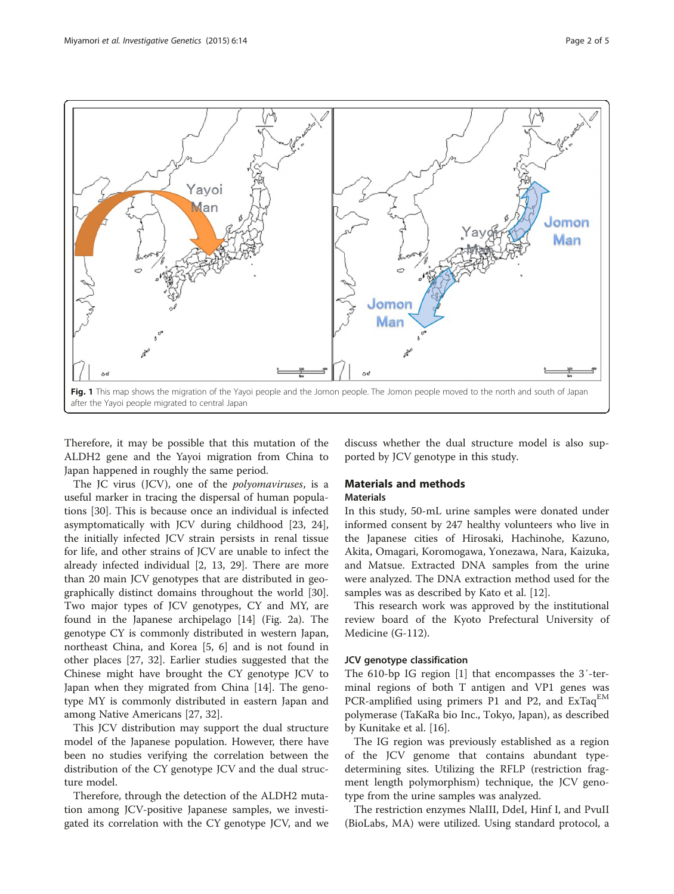<span id="page-1-0"></span>

Therefore, it may be possible that this mutation of the ALDH2 gene and the Yayoi migration from China to Japan happened in roughly the same period.

The JC virus (JCV), one of the *polyomaviruses*, is a useful marker in tracing the dispersal of human populations [\[30](#page-4-0)]. This is because once an individual is infected asymptomatically with JCV during childhood [\[23](#page-4-0), [24](#page-4-0)], the initially infected JCV strain persists in renal tissue for life, and other strains of JCV are unable to infect the already infected individual [\[2](#page-4-0), [13, 29](#page-4-0)]. There are more than 20 main JCV genotypes that are distributed in geographically distinct domains throughout the world [\[30](#page-4-0)]. Two major types of JCV genotypes, CY and MY, are found in the Japanese archipelago [\[14\]](#page-4-0) (Fig. [2a\)](#page-2-0). The genotype CY is commonly distributed in western Japan, northeast China, and Korea [[5, 6](#page-4-0)] and is not found in other places [[27](#page-4-0), [32\]](#page-4-0). Earlier studies suggested that the Chinese might have brought the CY genotype JCV to Japan when they migrated from China [[14](#page-4-0)]. The genotype MY is commonly distributed in eastern Japan and among Native Americans [[27, 32](#page-4-0)].

This JCV distribution may support the dual structure model of the Japanese population. However, there have been no studies verifying the correlation between the distribution of the CY genotype JCV and the dual structure model.

Therefore, through the detection of the ALDH2 mutation among JCV-positive Japanese samples, we investigated its correlation with the CY genotype JCV, and we

discuss whether the dual structure model is also supported by JCV genotype in this study.

# Materials and methods **Materials**

In this study, 50-mL urine samples were donated under informed consent by 247 healthy volunteers who live in the Japanese cities of Hirosaki, Hachinohe, Kazuno, Akita, Omagari, Koromogawa, Yonezawa, Nara, Kaizuka, and Matsue. Extracted DNA samples from the urine were analyzed. The DNA extraction method used for the samples was as described by Kato et al. [\[12](#page-4-0)].

This research work was approved by the institutional review board of the Kyoto Prefectural University of Medicine (G-112).

#### JCV genotype classification

The 610-bp IG region [\[1](#page-4-0)] that encompasses the 3′-terminal regions of both T antigen and VP1 genes was PCR-amplified using primers P1 and P2, and  $ExTaq^{EM}$ polymerase (TaKaRa bio Inc., Tokyo, Japan), as described by Kunitake et al. [[16](#page-4-0)].

The IG region was previously established as a region of the JCV genome that contains abundant typedetermining sites. Utilizing the RFLP (restriction fragment length polymorphism) technique, the JCV genotype from the urine samples was analyzed.

The restriction enzymes NlaIII, DdeI, Hinf I, and PvuII (BioLabs, MA) were utilized. Using standard protocol, a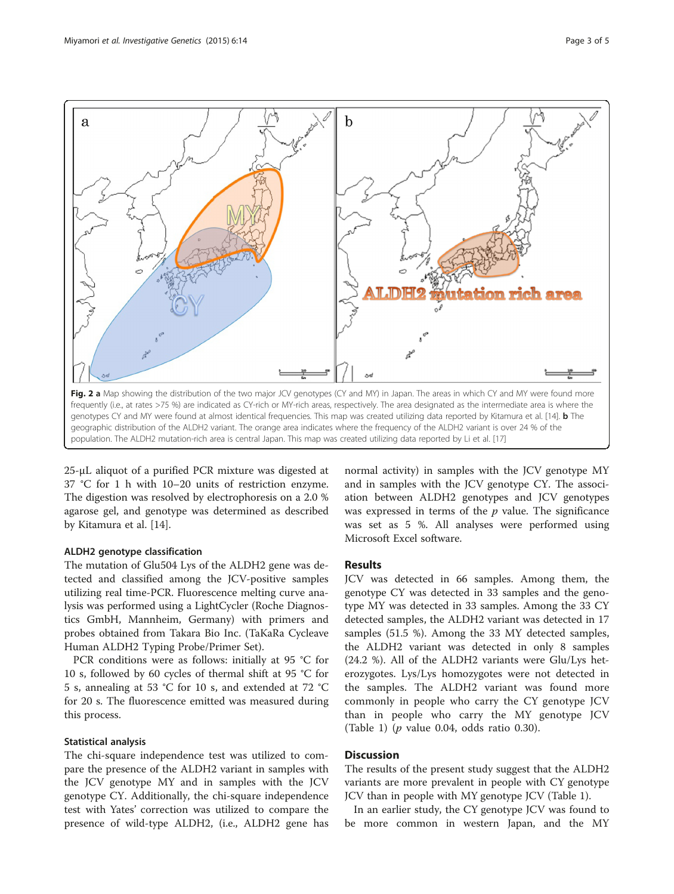<span id="page-2-0"></span>

Fig. 2 a Map showing the distribution of the two major JCV genotypes (CY and MY) in Japan. The areas in which CY and MY were found more frequently (i.e., at rates >75 %) are indicated as CY-rich or MY-rich areas, respectively. The area designated as the intermediate area is where the genotypes CY and MY were found at almost identical frequencies. This map was created utilizing data reported by Kitamura et al. [\[14\]](#page-4-0). **b** The geographic distribution of the ALDH2 variant. The orange area indicates where the frequency of the ALDH2 variant is over 24 % of the population. The ALDH2 mutation-rich area is central Japan. This map was created utilizing data reported by Li et al. [[17](#page-4-0)]

25-μL aliquot of a purified PCR mixture was digested at 37 °C for 1 h with 10–20 units of restriction enzyme. The digestion was resolved by electrophoresis on a 2.0 % agarose gel, and genotype was determined as described by Kitamura et al. [\[14\]](#page-4-0).

## ALDH2 genotype classification

The mutation of Glu504 Lys of the ALDH2 gene was detected and classified among the JCV-positive samples utilizing real time-PCR. Fluorescence melting curve analysis was performed using a LightCycler (Roche Diagnostics GmbH, Mannheim, Germany) with primers and probes obtained from Takara Bio Inc. (TaKaRa Cycleave Human ALDH2 Typing Probe/Primer Set).

PCR conditions were as follows: initially at 95 °C for 10 s, followed by 60 cycles of thermal shift at 95 °C for 5 s, annealing at 53 °C for 10 s, and extended at 72 °C for 20 s. The fluorescence emitted was measured during this process.

#### Statistical analysis

The chi-square independence test was utilized to compare the presence of the ALDH2 variant in samples with the JCV genotype MY and in samples with the JCV genotype CY. Additionally, the chi-square independence test with Yates' correction was utilized to compare the presence of wild-type ALDH2, (i.e., ALDH2 gene has

normal activity) in samples with the JCV genotype MY and in samples with the JCV genotype CY. The association between ALDH2 genotypes and JCV genotypes was expressed in terms of the  $p$  value. The significance was set as 5 %. All analyses were performed using Microsoft Excel software.

## Results

JCV was detected in 66 samples. Among them, the genotype CY was detected in 33 samples and the genotype MY was detected in 33 samples. Among the 33 CY detected samples, the ALDH2 variant was detected in 17 samples (51.5 %). Among the 33 MY detected samples, the ALDH2 variant was detected in only 8 samples (24.2 %). All of the ALDH2 variants were Glu/Lys heterozygotes. Lys/Lys homozygotes were not detected in the samples. The ALDH2 variant was found more commonly in people who carry the CY genotype JCV than in people who carry the MY genotype JCV (Table [1\)](#page-3-0) ( $p$  value 0.04, odds ratio 0.30).

### **Discussion**

The results of the present study suggest that the ALDH2 variants are more prevalent in people with CY genotype JCV than in people with MY genotype JCV (Table [1](#page-3-0)).

In an earlier study, the CY genotype JCV was found to be more common in western Japan, and the MY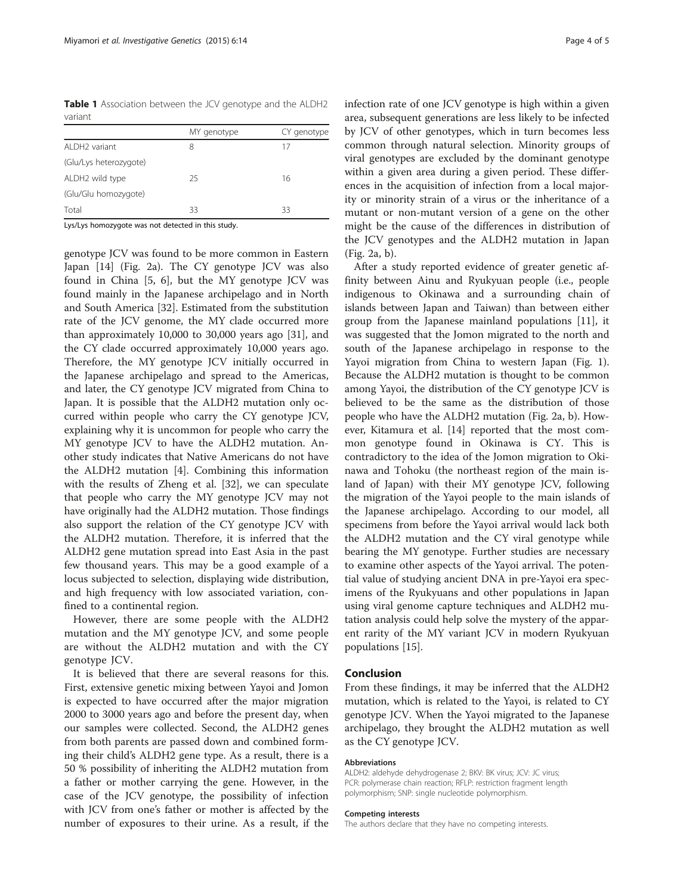<span id="page-3-0"></span>Table 1 Association between the JCV genotype and the ALDH2 variant

|                        | MY genotype | CY genotype |
|------------------------|-------------|-------------|
| ALDH2 variant          | 8           | 17          |
| (Glu/Lys heterozygote) |             |             |
| ALDH2 wild type        | 25          | 16          |
| (Glu/Glu homozygote)   |             |             |
| Total                  | 33          | 33          |
|                        |             |             |

Lys/Lys homozygote was not detected in this study.

genotype JCV was found to be more common in Eastern Japan [[14\]](#page-4-0) (Fig. [2a\)](#page-2-0). The CY genotype JCV was also found in China [\[5](#page-4-0), [6](#page-4-0)], but the MY genotype JCV was found mainly in the Japanese archipelago and in North and South America [\[32](#page-4-0)]. Estimated from the substitution rate of the JCV genome, the MY clade occurred more than approximately 10,000 to 30,000 years ago [[31\]](#page-4-0), and the CY clade occurred approximately 10,000 years ago. Therefore, the MY genotype JCV initially occurred in the Japanese archipelago and spread to the Americas, and later, the CY genotype JCV migrated from China to Japan. It is possible that the ALDH2 mutation only occurred within people who carry the CY genotype JCV, explaining why it is uncommon for people who carry the MY genotype JCV to have the ALDH2 mutation. Another study indicates that Native Americans do not have the ALDH2 mutation [[4\]](#page-4-0). Combining this information with the results of Zheng et al. [[32\]](#page-4-0), we can speculate that people who carry the MY genotype JCV may not have originally had the ALDH2 mutation. Those findings also support the relation of the CY genotype JCV with the ALDH2 mutation. Therefore, it is inferred that the ALDH2 gene mutation spread into East Asia in the past few thousand years. This may be a good example of a locus subjected to selection, displaying wide distribution, and high frequency with low associated variation, confined to a continental region.

However, there are some people with the ALDH2 mutation and the MY genotype JCV, and some people are without the ALDH2 mutation and with the CY genotype JCV.

It is believed that there are several reasons for this. First, extensive genetic mixing between Yayoi and Jomon is expected to have occurred after the major migration 2000 to 3000 years ago and before the present day, when our samples were collected. Second, the ALDH2 genes from both parents are passed down and combined forming their child's ALDH2 gene type. As a result, there is a 50 % possibility of inheriting the ALDH2 mutation from a father or mother carrying the gene. However, in the case of the JCV genotype, the possibility of infection with JCV from one's father or mother is affected by the number of exposures to their urine. As a result, if the infection rate of one JCV genotype is high within a given area, subsequent generations are less likely to be infected by JCV of other genotypes, which in turn becomes less common through natural selection. Minority groups of viral genotypes are excluded by the dominant genotype within a given area during a given period. These differences in the acquisition of infection from a local majority or minority strain of a virus or the inheritance of a mutant or non-mutant version of a gene on the other might be the cause of the differences in distribution of the JCV genotypes and the ALDH2 mutation in Japan (Fig. [2a, b](#page-2-0)).

After a study reported evidence of greater genetic affinity between Ainu and Ryukyuan people (i.e., people indigenous to Okinawa and a surrounding chain of islands between Japan and Taiwan) than between either group from the Japanese mainland populations [\[11\]](#page-4-0), it was suggested that the Jomon migrated to the north and south of the Japanese archipelago in response to the Yayoi migration from China to western Japan (Fig. [1](#page-1-0)). Because the ALDH2 mutation is thought to be common among Yayoi, the distribution of the CY genotype JCV is believed to be the same as the distribution of those people who have the ALDH2 mutation (Fig. [2a, b](#page-2-0)). However, Kitamura et al. [[14](#page-4-0)] reported that the most common genotype found in Okinawa is CY. This is contradictory to the idea of the Jomon migration to Okinawa and Tohoku (the northeast region of the main island of Japan) with their MY genotype JCV, following the migration of the Yayoi people to the main islands of the Japanese archipelago. According to our model, all specimens from before the Yayoi arrival would lack both the ALDH2 mutation and the CY viral genotype while bearing the MY genotype. Further studies are necessary to examine other aspects of the Yayoi arrival. The potential value of studying ancient DNA in pre-Yayoi era specimens of the Ryukyuans and other populations in Japan using viral genome capture techniques and ALDH2 mutation analysis could help solve the mystery of the apparent rarity of the MY variant JCV in modern Ryukyuan populations [[15\]](#page-4-0).

#### Conclusion

From these findings, it may be inferred that the ALDH2 mutation, which is related to the Yayoi, is related to CY genotype JCV. When the Yayoi migrated to the Japanese archipelago, they brought the ALDH2 mutation as well as the CY genotype JCV.

#### Abbreviations

ALDH2: aldehyde dehydrogenase 2; BKV: BK virus; JCV: JC virus; PCR: polymerase chain reaction; RFLP: restriction fragment length polymorphism; SNP: single nucleotide polymorphism.

#### Competing interests

The authors declare that they have no competing interests.